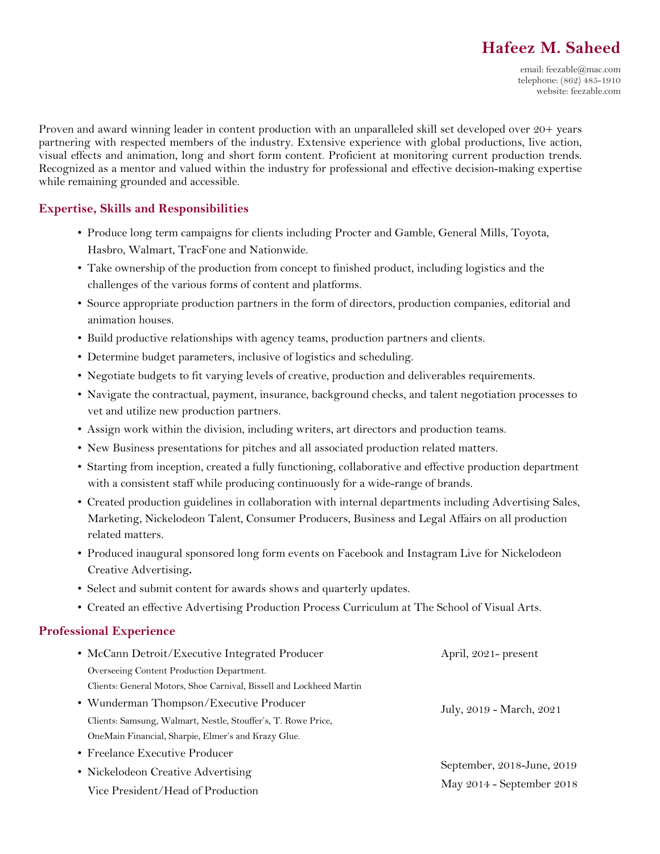# **Hafeez M. Saheed**

Proven and award winning leader in content production with an unparalleled skill set developed over 20+ years partnering with respected members of the industry. Extensive experience with global productions, live action, visual effects and animation, long and short form content. Proficient at monitoring current production trends. Recognized as a mentor and valued within the industry for professional and effective decision-making expertise while remaining grounded and accessible.

# **Expertise, Skills and Responsibilities**

- Produce long term campaigns for clients including Procter and Gamble, General Mills, Toyota, Hasbro, Walmart, TracFone and Nationwide.
- Take ownership of the production from concept to finished product, including logistics and the challenges of the various forms of content and platforms.
- Source appropriate production partners in the form of directors, production companies, editorial and animation houses.
- Build productive relationships with agency teams, production partners and clients.
- Determine budget parameters, inclusive of logistics and scheduling.
- Negotiate budgets to fit varying levels of creative, production and deliverables requirements.
- Navigate the contractual, payment, insurance, background checks, and talent negotiation processes to vet and utilize new production partners.
- Assign work within the division, including writers, art directors and production teams.
- New Business presentations for pitches and all associated production related matters.
- Starting from inception, created a fully functioning, collaborative and effective production department with a consistent staff while producing continuously for a wide-range of brands.
- Created production guidelines in collaboration with internal departments including Advertising Sales, Marketing, Nickelodeon Talent, Consumer Producers, Business and Legal Affairs on all production related matters.
- Produced inaugural sponsored long form events on Facebook and Instagram Live for Nickelodeon Creative Advertising**.**
- Select and submit content for awards shows and quarterly updates.
- Created an effective Advertising Production Process Curriculum at The School of Visual Arts.

### **Professional Experience**

| • McCann Detroit/Executive Integrated Producer                      | April, 2021- present                                    |
|---------------------------------------------------------------------|---------------------------------------------------------|
| Overseeing Content Production Department.                           |                                                         |
| Clients: General Motors, Shoe Carnival, Bissell and Lockheed Martin | July, 2019 - March, 2021                                |
| • Wunderman Thompson/Executive Producer                             |                                                         |
| Clients: Samsung, Walmart, Nestle, Stouffer's, T. Rowe Price,       |                                                         |
| OneMain Financial, Sharpie, Elmer's and Krazy Glue.                 |                                                         |
| • Freelance Executive Producer                                      | September, 2018-June, 2019<br>May 2014 - September 2018 |
| • Nickelodeon Creative Advertising                                  |                                                         |
| Vice President/Head of Production                                   |                                                         |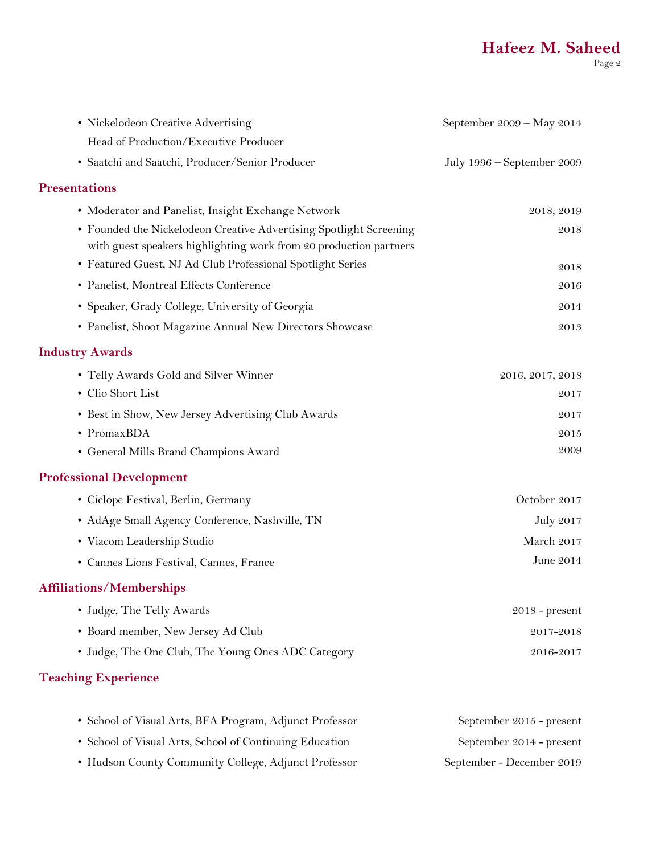| • Nickelodeon Creative Advertising                                                                                                      | September 2009 - May 2014  |
|-----------------------------------------------------------------------------------------------------------------------------------------|----------------------------|
| Head of Production/Executive Producer                                                                                                   |                            |
| · Saatchi and Saatchi, Producer/Senior Producer                                                                                         | July 1996 – September 2009 |
| <b>Presentations</b>                                                                                                                    |                            |
| • Moderator and Panelist, Insight Exchange Network                                                                                      | 2018, 2019                 |
| • Founded the Nickelodeon Creative Advertising Spotlight Screening<br>with guest speakers highlighting work from 20 production partners | 2018                       |
| • Featured Guest, NJ Ad Club Professional Spotlight Series                                                                              | 2018                       |
| • Panelist, Montreal Effects Conference                                                                                                 | 2016                       |
| • Speaker, Grady College, University of Georgia                                                                                         | 2014                       |
| • Panelist, Shoot Magazine Annual New Directors Showcase                                                                                | 2013                       |
| <b>Industry Awards</b>                                                                                                                  |                            |
| • Telly Awards Gold and Silver Winner                                                                                                   | 2016, 2017, 2018           |
| • Clio Short List                                                                                                                       | 2017                       |
| • Best in Show, New Jersey Advertising Club Awards                                                                                      | 2017                       |
| • PromaxBDA                                                                                                                             | 2015                       |
| • General Mills Brand Champions Award                                                                                                   | 2009                       |
| <b>Professional Development</b>                                                                                                         |                            |
| • Ciclope Festival, Berlin, Germany                                                                                                     | October 2017               |
| • AdAge Small Agency Conference, Nashville, TN                                                                                          | July 2017                  |
| • Viacom Leadership Studio                                                                                                              | March 2017                 |
| • Cannes Lions Festival, Cannes, France                                                                                                 | June 2014                  |
| <b>Affiliations/Memberships</b>                                                                                                         |                            |
| • Judge, The Telly Awards                                                                                                               | $2018$ - present           |
| • Board member, New Jersey Ad Club                                                                                                      | 2017-2018                  |
| • Judge, The One Club, The Young Ones ADC Category                                                                                      | 2016-2017                  |
| <b>Teaching Experience</b>                                                                                                              |                            |

| • School of Visual Arts, BFA Program, Adjunct Professor | September 2015 - present  |
|---------------------------------------------------------|---------------------------|
| • School of Visual Arts, School of Continuing Education | September 2014 - present  |
| • Hudson County Community College, Adjunct Professor    | September - December 2019 |